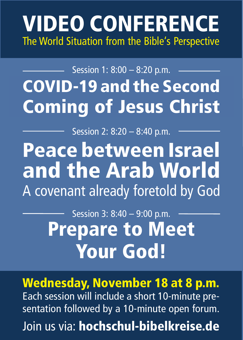## VIDEO CONFERENCE The World Situation from the Bible's Perspective

## COVID-19 and the Second Coming of Jesus Christ Session 1: 8:00 – 8:20 p.m.

Session 2: 8:20 – 8:40 p.m.

Peace between Israel and the Arab World A covenant already foretold by God

> Prepare to Meet Your God! Session 3: 8:40 - 9:00 p.m.

Wednesday, November 18 at 8 p.m. Each session will include a short 10-minute presentation followed by a 10-minute open forum. Join us via: hochschul-bibelkreise.de